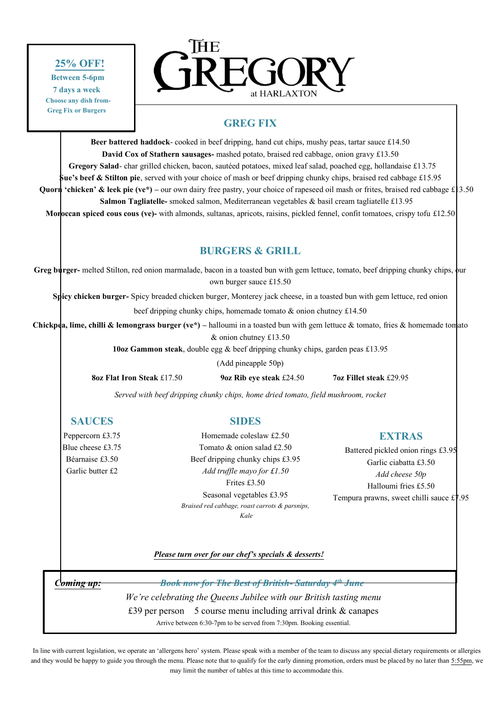# **25% OFF!**

 **Between 5-6pm 7 days a week Choose any dish from- Greg Fix or Burgers**



# **GREG FIX**

**Beer battered haddock**- cooked in beef dripping, hand cut chips, mushy peas, tartar sauce £14.50 **David Cox of Stathern sausages-** mashed potato, braised red cabbage, onion gravy £13.50 **Gregory Salad**- char grilled chicken, bacon, sautéed potatoes, mixed leaf salad, poached egg, hollandaise £13.75 **Sue's beef & Stilton pie**, served with your choice of mash or beef dripping chunky chips, braised red cabbage £15.95 **Quorn 'chicken' & leek pie (ve\*)** – our own dairy free pastry, your choice of rapeseed oil mash or frites, braised red cabbage £13.50 **Salmon Tagliatelle-** smoked salmon, Mediterranean vegetables & basil cream tagliatelle £13.95

**Moroccan spiced cous cous (ve)-** with almonds, sultanas, apricots, raisins, pickled fennel, confit tomatoes, crispy tofu £12.50

# **BURGERS & GRILL**

Greg burger- melted Stilton, red onion marmalade, bacon in a toasted bun with gem lettuce, tomato, beef dripping chunky chips, bur own burger sauce £15.50

**Spicy chicken burger-** Spicy breaded chicken burger, Monterey jack cheese, in a toasted bun with gem lettuce, red onion

beef dripping chunky chips, homemade tomato & onion chutney £14.50

**Chickpea, lime, chilli & lemongrass burger (ve\*) –** halloumi in a toasted bun with gem lettuce & tomato, fries & homemade tomato & onion chutney £13.50

**10oz Gammon steak**, double egg & beef dripping chunky chips, garden peas £13.95

(Add pineapple 50p)

**8oz Flat Iron Steak** £17.50 **9oz Rib eye steak** £24.50 **7oz Fillet steak** £29.95

*Served with beef dripping chunky chips, home dried tomato, field mushroom, rocket*

**SAUCES**

Peppercorn £3.75 Blue cheese £3.75 Béarnaise £3.50 Garlic butter £2

# **SIDES**

Homemade coleslaw £2.50 Tomato & onion salad £2.50 Beef dripping chunky chips £3.95 *Add truffle mayo for £1.50* Frites £3.50 Seasonal vegetables £3.95 *Braised red cabbage, roast carrots & parsnips, Kale*

# **EXTRAS**

Battered pickled onion rings £3.95 Garlic ciabatta £3.50 *Add cheese 50p* Halloumi fries £5.50 Tempura prawns, sweet chilli sauce  $\pounds$ 7.95

*Please turn over for our chef's specials & desserts!* 

*Coming up: Book now for The Best of British- Saturday 4th June We're celebrating the Queens Jubilee with our British tasting menu* £39 per person 5 course menu including arrival drink & canapes Arrive between 6:30-7pm to be served from 7:30pm. Booking essential.

In line with current legislation, we operate an 'allergens hero' system. Please speak with a member of the team to discuss any special dietary requirements or allergies and they would be happy to guide you through the menu. Please note that to qualify for the early dinning promotion, orders must be placed by no later than 5:55pm, we may limit the number of tables at this time to accommodate this.